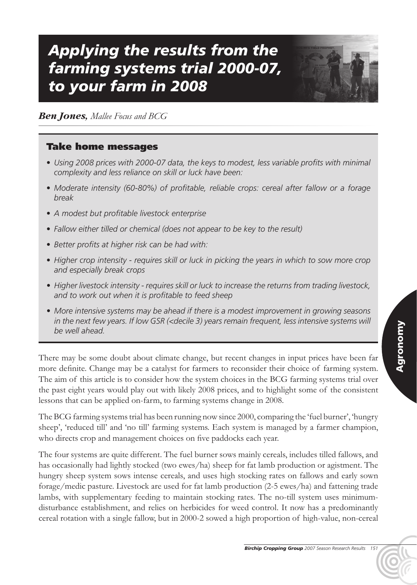# *Applying the results from the farming systems trial 2000-07, to your farm in 2008*



### *Ben Jones, Mallee Focus and BCG*

#### Take home messages

- *• Using 2008 prices with 2000-07 data, the keys to modest, less variable profits with minimal complexity and less reliance on skill or luck have been:*
- *• Moderate intensity (60-80%) of profitable, reliable crops: cereal after fallow or a forage break*
- *• A modest but profitable livestock enterprise*
- *• Fallow either tilled or chemical (does not appear to be key to the result)*
- *• Better profits at higher risk can be had with:*
- *• Higher crop intensity - requires skill or luck in picking the years in which to sow more crop and especially break crops*
- *• Higher livestock intensity - requires skill or luck to increase the returns from trading livestock, and to work out when it is profitable to feed sheep*
- *• More intensive systems may be ahead if there is a modest improvement in growing seasons in the next few years. If low GSR (<decile 3) years remain frequent, less intensive systems will be well ahead.*

There may be some doubt about climate change, but recent changes in input prices have been far more definite. Change may be a catalyst for farmers to reconsider their choice of farming system. The aim of this article is to consider how the system choices in the BCG farming systems trial over the past eight years would play out with likely 2008 prices, and to highlight some of the consistent lessons that can be applied on-farm, to farming systems change in 2008.

The BCG farming systems trial has been running now since 2000, comparing the 'fuel burner', 'hungry sheep', 'reduced till' and 'no till' farming systems. Each system is managed by a farmer champion, who directs crop and management choices on five paddocks each year.

The four systems are quite different. The fuel burner sows mainly cereals, includes tilled fallows, and has occasionally had lightly stocked (two ewes/ha) sheep for fat lamb production or agistment. The hungry sheep system sows intense cereals, and uses high stocking rates on fallows and early sown forage/medic pasture. Livestock are used for fat lamb production (2-5 ewes/ha) and fattening trade lambs, with supplementary feeding to maintain stocking rates. The no-till system uses minimumdisturbance establishment, and relies on herbicides for weed control. It now has a predominantly cereal rotation with a single fallow, but in 2000-2 sowed a high proportion of high-value, non-cereal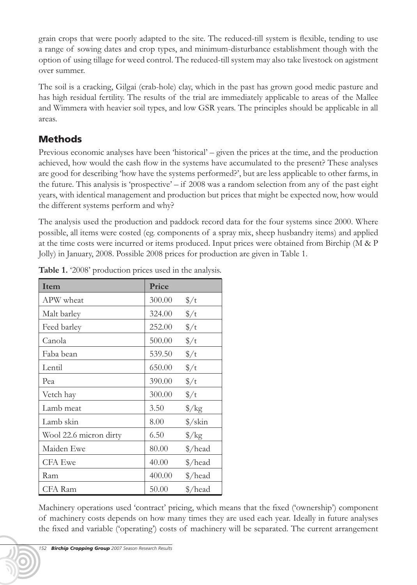grain crops that were poorly adapted to the site. The reduced-till system is flexible, tending to use a range of sowing dates and crop types, and minimum-disturbance establishment though with the option of using tillage for weed control. The reduced-till system may also take livestock on agistment over summer.

The soil is a cracking, Gilgai (crab-hole) clay, which in the past has grown good medic pasture and has high residual fertility. The results of the trial are immediately applicable to areas of the Mallee and Wimmera with heavier soil types, and low GSR years. The principles should be applicable in all areas.

## Methods

Previous economic analyses have been 'historical' – given the prices at the time, and the production achieved, how would the cash flow in the systems have accumulated to the present? These analyses are good for describing 'how have the systems performed?', but are less applicable to other farms, in the future. This analysis is 'prospective' – if 2008 was a random selection from any of the past eight years, with identical management and production but prices that might be expected now, how would the different systems perform and why?

The analysis used the production and paddock record data for the four systems since 2000. Where possible, all items were costed (eg. components of a spray mix, sheep husbandry items) and applied at the time costs were incurred or items produced. Input prices were obtained from Birchip (M & P Jolly) in January, 2008. Possible 2008 prices for production are given in Table 1.

| <b>Item</b>            | Price  |                      |
|------------------------|--------|----------------------|
| APW wheat              | 300.00 | $\frac{\pi}{4}$      |
| Malt barley            | 324.00 | $\frac{\pi}{4}$      |
| Feed barley            | 252.00 | $\frac{\pi}{4}$      |
| Canola                 | 500.00 | $\frac{\pi}{2}$      |
| Faba bean              | 539.50 | $\frac{\pi}{4}$      |
| Lentil                 | 650.00 | $\frac{\pi}{4}$      |
| Pea                    | 390.00 | $\frac{\pi}{4}$      |
| Vetch hay              | 300.00 | $\frac{\pi}{4}$      |
| Lamb meat              | 3.50   | $\frac{\xi}{kg}$     |
| Lamb skin              | 8.00   | $\frac{\sqrt{3}}{2}$ |
| Wool 22.6 micron dirty | 6.50   | $\frac{\pi}{8}$      |
| Maiden Ewe             | 80.00  | \$/head              |
| <b>CFA Ewe</b>         | 40.00  | \$/head              |
| Ram                    | 400.00 | \$/head              |
| <b>CFA</b> Ram         | 50.00  | \$/head              |

**Table 1.** '2008' production prices used in the analysis.

Machinery operations used 'contract' pricing, which means that the fixed ('ownership') component of machinery costs depends on how many times they are used each year. Ideally in future analyses the fixed and variable ('operating') costs of machinery will be separated. The current arrangement

*<sup>152</sup> Birchip Cropping Group 2007 Season Research Results*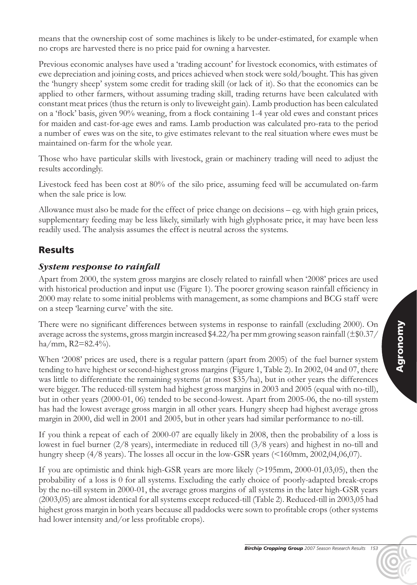means that the ownership cost of some machines is likely to be under-estimated, for example when no crops are harvested there is no price paid for owning a harvester.

Previous economic analyses have used a 'trading account' for livestock economics, with estimates of ewe depreciation and joining costs, and prices achieved when stock were sold/bought. This has given the 'hungry sheep' system some credit for trading skill (or lack of it). So that the economics can be applied to other farmers, without assuming trading skill, trading returns have been calculated with constant meat prices (thus the return is only to liveweight gain). Lamb production has been calculated on a 'flock' basis, given 90% weaning, from a flock containing 1-4 year old ewes and constant prices for maiden and cast-for-age ewes and rams. Lamb production was calculated pro-rata to the period a number of ewes was on the site, to give estimates relevant to the real situation where ewes must be maintained on-farm for the whole year.

Those who have particular skills with livestock, grain or machinery trading will need to adjust the results accordingly.

Livestock feed has been cost at 80% of the silo price, assuming feed will be accumulated on-farm when the sale price is low.

Allowance must also be made for the effect of price change on decisions – eg. with high grain prices, supplementary feeding may be less likely, similarly with high glyphosate price, it may have been less readily used. The analysis assumes the effect is neutral across the systems.

## Results

#### *System response to rainfall*

Apart from 2000, the system gross margins are closely related to rainfall when '2008' prices are used with historical production and input use (Figure 1). The poorer growing season rainfall efficiency in 2000 may relate to some initial problems with management, as some champions and BCG staff were on a steep 'learning curve' with the site.

There were no significant differences between systems in response to rainfall (excluding 2000). On average across the systems, gross margin increased \$4.22/ha per mm growing season rainfall  $(\pm \$0.37/$ ha/mm,  $R2 = 82.4\%$ .

When '2008' prices are used, there is a regular pattern (apart from 2005) of the fuel burner system tending to have highest or second-highest gross margins (Figure 1, Table 2). In 2002, 04 and 07, there was little to differentiate the remaining systems (at most \$35/ha), but in other years the differences were bigger. The reduced-till system had highest gross margins in 2003 and 2005 (equal with no-till), but in other years (2000-01, 06) tended to be second-lowest. Apart from 2005-06, the no-till system has had the lowest average gross margin in all other years. Hungry sheep had highest average gross margin in 2000, did well in 2001 and 2005, but in other years had similar performance to no-till.

If you think a repeat of each of 2000-07 are equally likely in 2008, then the probability of a loss is lowest in fuel burner (2/8 years), intermediate in reduced till (3/8 years) and highest in no-till and hungry sheep (4/8 years). The losses all occur in the low-GSR years (<160mm, 2002,04,06,07).

If you are optimistic and think high-GSR years are more likely (>195mm, 2000-01,03,05), then the probability of a loss is 0 for all systems. Excluding the early choice of poorly-adapted break-crops by the no-till system in 2000-01, the average gross margins of all systems in the later high-GSR years (2003,05) are almost identical for all systems except reduced-till (Table 2). Reduced-till in 2003,05 had highest gross margin in both years because all paddocks were sown to profitable crops (other systems had lower intensity and/or less profitable crops).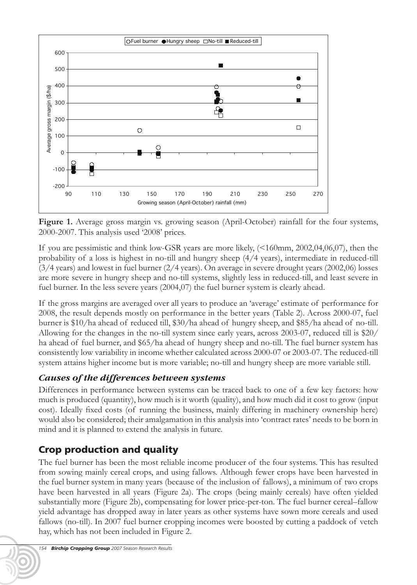

**Figure 1.** Average gross margin vs. growing season (April-October) rainfall for the four systems, 2000-2007. This analysis used '2008' prices.

If you are pessimistic and think low-GSR years are more likely, (<160mm, 2002,04,06,07), then the probability of a loss is highest in no-till and hungry sheep (4/4 years), intermediate in reduced-till (3/4 years) and lowest in fuel burner (2/4 years). On average in severe drought years (2002,06) losses are more severe in hungry sheep and no-till systems, slightly less in reduced-till, and least severe in fuel burner. In the less severe years (2004,07) the fuel burner system is clearly ahead.

If the gross margins are averaged over all years to produce an 'average' estimate of performance for 2008, the result depends mostly on performance in the better years (Table 2). Across 2000-07, fuel burner is \$10/ha ahead of reduced till, \$30/ha ahead of hungry sheep, and \$85/ha ahead of no-till. Allowing for the changes in the no-till system since early years, across 2003-07, reduced till is \$20/ ha ahead of fuel burner, and \$65/ha ahead of hungry sheep and no-till. The fuel burner system has consistently low variability in income whether calculated across 2000-07 or 2003-07. The reduced-till system attains higher income but is more variable; no-till and hungry sheep are more variable still.

#### *Causes of the differences between systems*

Differences in performance between systems can be traced back to one of a few key factors: how much is produced (quantity), how much is it worth (quality), and how much did it cost to grow (input cost). Ideally fixed costs (of running the business, mainly differing in machinery ownership here) would also be considered; their amalgamation in this analysis into 'contract rates' needs to be born in mind and it is planned to extend the analysis in future.

# Crop production and quality

The fuel burner has been the most reliable income producer of the four systems. This has resulted from sowing mainly cereal crops, and using fallows. Although fewer crops have been harvested in the fuel burner system in many years (because of the inclusion of fallows), a minimum of two crops have been harvested in all years (Figure 2a). The crops (being mainly cereals) have often yielded substantially more (Figure 2b), compensating for lower price-per-ton. The fuel burner cereal–fallow yield advantage has dropped away in later years as other systems have sown more cereals and used fallows (no-till). In 2007 fuel burner cropping incomes were boosted by cutting a paddock of vetch hay, which has not been included in Figure 2.

*<sup>154</sup> Birchip Cropping Group 2007 Season Research Results*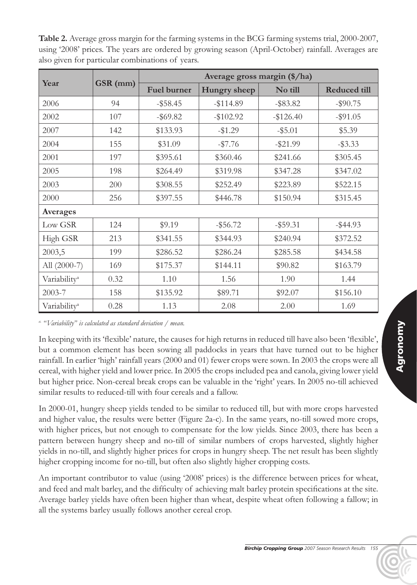**Table 2.** Average gross margin for the farming systems in the BCG farming systems trial, 2000-2007, using '2008' prices. The years are ordered by growing season (April-October) rainfall. Averages are also given for particular combinations of years.

| Year                     | GSR (mm) | Average gross margin (\$/ha) |              |             |              |  |
|--------------------------|----------|------------------------------|--------------|-------------|--------------|--|
|                          |          | <b>Fuel burner</b>           | Hungry sheep | No till     | Reduced till |  |
| 2006                     | 94       | $-$ \$58.45                  | $-114.89$    | $-$ \$83.82 | $-$ \$90.75  |  |
| 2002                     | 107      | $-$ \$69.82                  | $-$102.92$   | $-$126.40$  | $-$ \$91.05  |  |
| 2007                     | 142      | \$133.93                     | $-$1.29$     | $-$ \$5.01  | \$5.39       |  |
| 2004                     | 155      | \$31.09                      | $-\$7.76$    | $-$ \$21.99 | $-$ \$3.33   |  |
| 2001                     | 197      | \$395.61                     | \$360.46     | \$241.66    | \$305.45     |  |
| 2005                     | 198      | \$264.49                     | \$319.98     | \$347.28    | \$347.02     |  |
| 2003                     | 200      | \$308.55                     | \$252.49     | \$223.89    | \$522.15     |  |
| 2000                     | 256      | \$397.55                     | \$446.78     | \$150.94    | \$315.45     |  |
| Averages                 |          |                              |              |             |              |  |
| Low GSR                  | 124      | \$9.19                       | $-$ \$56.72  | $-$ \$59.31 | $-$ \$44.93  |  |
| High GSR                 | 213      | \$341.55                     | \$344.93     | \$240.94    | \$372.52     |  |
| 2003,5                   | 199      | \$286.52                     | \$286.24     | \$285.58    | \$434.58     |  |
| All (2000-7)             | 169      | \$175.37                     | \$144.11     | \$90.82     | \$163.79     |  |
| Variability <sup>a</sup> | 0.32     | 1.10                         | 1.56         | 1.90        | 1.44         |  |
| 2003-7                   | 158      | \$135.92                     | \$89.71      | \$92.07     | \$156.10     |  |
| Variability <sup>a</sup> | 0.28     | 1.13                         | 2.08         | 2.00        | 1.69         |  |

*a. "Variability" is calculated as standard deviation / mean.*

In keeping with its 'flexible' nature, the causes for high returns in reduced till have also been 'flexible', but a common element has been sowing all paddocks in years that have turned out to be higher rainfall. In earlier 'high' rainfall years (2000 and 01) fewer crops were sown. In 2003 the crops were all cereal, with higher yield and lower price. In 2005 the crops included pea and canola, giving lower yield but higher price. Non-cereal break crops can be valuable in the 'right' years. In 2005 no-till achieved similar results to reduced-till with four cereals and a fallow.

In 2000-01, hungry sheep yields tended to be similar to reduced till, but with more crops harvested and higher value, the results were better (Figure 2a-c). In the same years, no-till sowed more crops, with higher prices, but not enough to compensate for the low yields. Since 2003, there has been a pattern between hungry sheep and no-till of similar numbers of crops harvested, slightly higher yields in no-till, and slightly higher prices for crops in hungry sheep. The net result has been slightly higher cropping income for no-till, but often also slightly higher cropping costs.

An important contributor to value (using '2008' prices) is the difference between prices for wheat, and feed and malt barley, and the difficulty of achieving malt barley protein specifications at the site. Average barley yields have often been higher than wheat, despite wheat often following a fallow; in all the systems barley usually follows another cereal crop.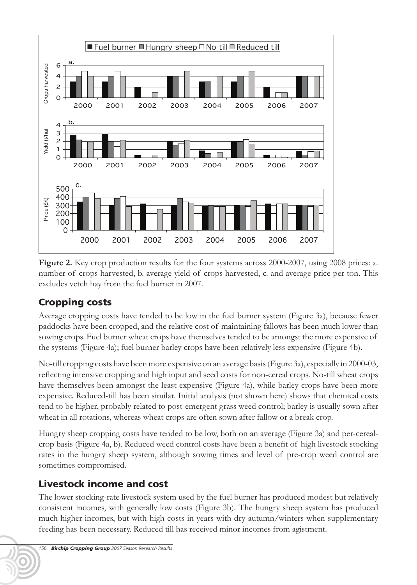

**Figure 2.** Key crop production results for the four systems across 2000-2007, using 2008 prices: a. number of crops harvested, b. average yield of crops harvested, c. and average price per ton. This excludes vetch hay from the fuel burner in 2007.

## Cropping costs

Average cropping costs have tended to be low in the fuel burner system (Figure 3a), because fewer paddocks have been cropped, and the relative cost of maintaining fallows has been much lower than sowing crops. Fuel burner wheat crops have themselves tended to be amongst the more expensive of the systems (Figure 4a); fuel burner barley crops have been relatively less expensive (Figure 4b).

No-till cropping costs have been more expensive on an average basis (Figure 3a), especially in 2000-03, reflecting intensive cropping and high input and seed costs for non-cereal crops. No-till wheat crops have themselves been amongst the least expensive (Figure 4a), while barley crops have been more expensive. Reduced-till has been similar. Initial analysis (not shown here) shows that chemical costs tend to be higher, probably related to post-emergent grass weed control; barley is usually sown after wheat in all rotations, whereas wheat crops are often sown after fallow or a break crop.

Hungry sheep cropping costs have tended to be low, both on an average (Figure 3a) and per-cerealcrop basis (Figure 4a, b). Reduced weed control costs have been a benefit of high livestock stocking rates in the hungry sheep system, although sowing times and level of pre-crop weed control are sometimes compromised.

## Livestock income and cost

The lower stocking-rate livestock system used by the fuel burner has produced modest but relatively consistent incomes, with generally low costs (Figure 3b). The hungry sheep system has produced much higher incomes, but with high costs in years with dry autumn/winters when supplementary feeding has been necessary. Reduced till has received minor incomes from agistment.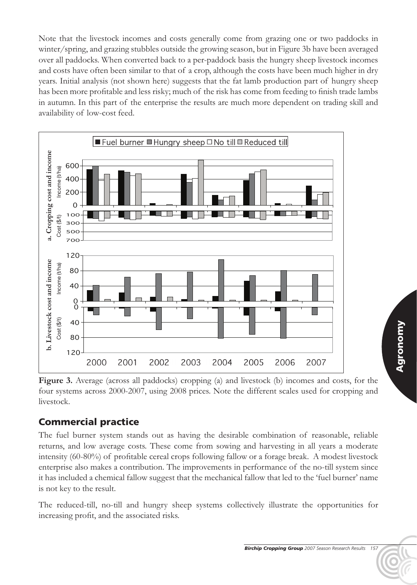Note that the livestock incomes and costs generally come from grazing one or two paddocks in winter/spring, and grazing stubbles outside the growing season, but in Figure 3b have been averaged over all paddocks. When converted back to a per-paddock basis the hungry sheep livestock incomes and costs have often been similar to that of a crop, although the costs have been much higher in dry years. Initial analysis (not shown here) suggests that the fat lamb production part of hungry sheep has been more profitable and less risky; much of the risk has come from feeding to finish trade lambs in autumn. In this part of the enterprise the results are much more dependent on trading skill and availability of low-cost feed.



Figure 3. Average (across all paddocks) cropping (a) and livestock (b) incomes and costs, for the four systems across 2000-2007, using 2008 prices. Note the different scales used for cropping and livestock.

# Commercial practice

The fuel burner system stands out as having the desirable combination of reasonable, reliable returns, and low average costs. These come from sowing and harvesting in all years a moderate intensity (60-80%) of profitable cereal crops following fallow or a forage break. A modest livestock enterprise also makes a contribution. The improvements in performance of the no-till system since it has included a chemical fallow suggest that the mechanical fallow that led to the 'fuel burner' name is not key to the result.

The reduced-till, no-till and hungry sheep systems collectively illustrate the opportunities for